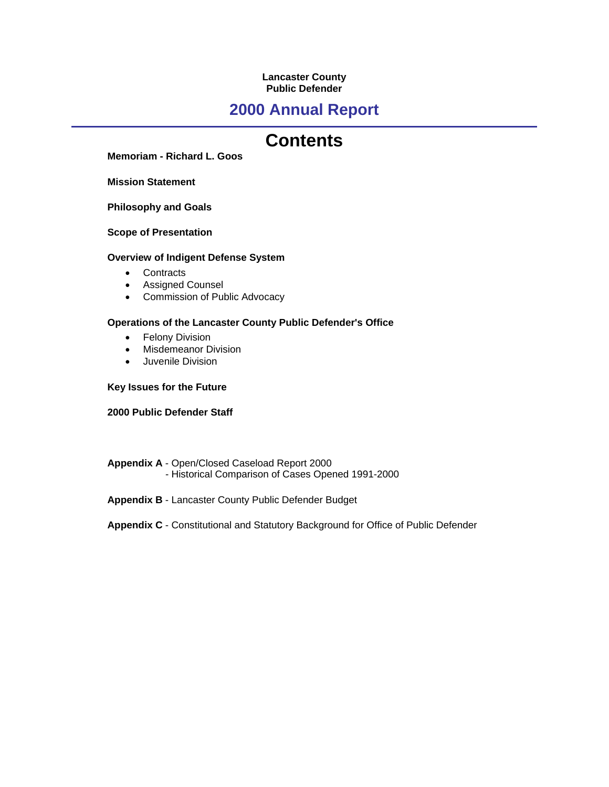## **Lancaster County Public Defender**

## **2000 Annual Report**

## **Contents**

**Memoriam - Richard L. Goos**

**Mission Statement**

**Philosophy and Goals**

**Scope of Presentation**

## **Overview of Indigent Defense System**

- Contracts
- Assigned Counsel
- Commission of Public Advocacy

## **Operations of the Lancaster County Public Defender's Office**

- Felony Division
- Misdemeanor Division
- Juvenile Division

## **Key Issues for the Future**

## **2000 Public Defender Staff**

- **Appendix A** Open/Closed Caseload Report 2000 - Historical Comparison of Cases Opened 1991-2000
- **Appendix B** Lancaster County Public Defender Budget

## **Appendix C** - Constitutional and Statutory Background for Office of Public Defender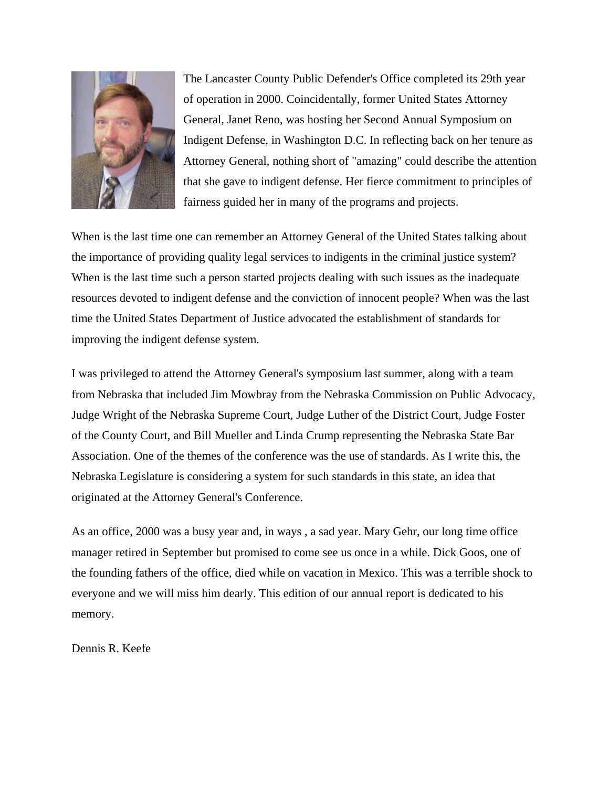

The Lancaster County Public Defender's Office completed its 29th year of operation in 2000. Coincidentally, former United States Attorney General, Janet Reno, was hosting her Second Annual Symposium on Indigent Defense, in Washington D.C. In reflecting back on her tenure as Attorney General, nothing short of "amazing" could describe the attention that she gave to indigent defense. Her fierce commitment to principles of fairness guided her in many of the programs and projects.

When is the last time one can remember an Attorney General of the United States talking about the importance of providing quality legal services to indigents in the criminal justice system? When is the last time such a person started projects dealing with such issues as the inadequate resources devoted to indigent defense and the conviction of innocent people? When was the last time the United States Department of Justice advocated the establishment of standards for improving the indigent defense system.

I was privileged to attend the Attorney General's symposium last summer, along with a team from Nebraska that included Jim Mowbray from the Nebraska Commission on Public Advocacy, Judge Wright of the Nebraska Supreme Court, Judge Luther of the District Court, Judge Foster of the County Court, and Bill Mueller and Linda Crump representing the Nebraska State Bar Association. One of the themes of the conference was the use of standards. As I write this, the Nebraska Legislature is considering a system for such standards in this state, an idea that originated at the Attorney General's Conference.

As an office, 2000 was a busy year and, in ways , a sad year. Mary Gehr, our long time office manager retired in September but promised to come see us once in a while. Dick Goos, one of the founding fathers of the office, died while on vacation in Mexico. This was a terrible shock to everyone and we will miss him dearly. This edition of our annual report is dedicated to his memory.

Dennis R. Keefe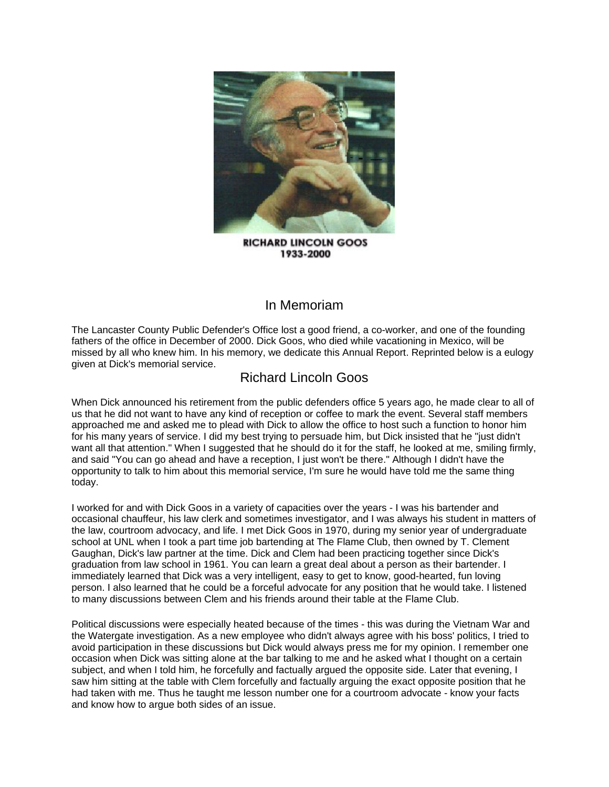

**RICHARD LINCOLN GOOS** 1933-2000

## In Memoriam

The Lancaster County Public Defender's Office lost a good friend, a co-worker, and one of the founding fathers of the office in December of 2000. Dick Goos, who died while vacationing in Mexico, will be missed by all who knew him. In his memory, we dedicate this Annual Report. Reprinted below is a eulogy given at Dick's memorial service.

## Richard Lincoln Goos

When Dick announced his retirement from the public defenders office 5 years ago, he made clear to all of us that he did not want to have any kind of reception or coffee to mark the event. Several staff members approached me and asked me to plead with Dick to allow the office to host such a function to honor him for his many years of service. I did my best trying to persuade him, but Dick insisted that he "just didn't want all that attention." When I suggested that he should do it for the staff, he looked at me, smiling firmly, and said "You can go ahead and have a reception, I just won't be there." Although I didn't have the opportunity to talk to him about this memorial service, I'm sure he would have told me the same thing today.

I worked for and with Dick Goos in a variety of capacities over the years - I was his bartender and occasional chauffeur, his law clerk and sometimes investigator, and I was always his student in matters of the law, courtroom advocacy, and life. I met Dick Goos in 1970, during my senior year of undergraduate school at UNL when I took a part time job bartending at The Flame Club, then owned by T. Clement Gaughan, Dick's law partner at the time. Dick and Clem had been practicing together since Dick's graduation from law school in 1961. You can learn a great deal about a person as their bartender. I immediately learned that Dick was a very intelligent, easy to get to know, good-hearted, fun loving person. I also learned that he could be a forceful advocate for any position that he would take. I listened to many discussions between Clem and his friends around their table at the Flame Club.

Political discussions were especially heated because of the times - this was during the Vietnam War and the Watergate investigation. As a new employee who didn't always agree with his boss' politics, I tried to avoid participation in these discussions but Dick would always press me for my opinion. I remember one occasion when Dick was sitting alone at the bar talking to me and he asked what I thought on a certain subject, and when I told him, he forcefully and factually argued the opposite side. Later that evening, I saw him sitting at the table with Clem forcefully and factually arguing the exact opposite position that he had taken with me. Thus he taught me lesson number one for a courtroom advocate - know your facts and know how to argue both sides of an issue.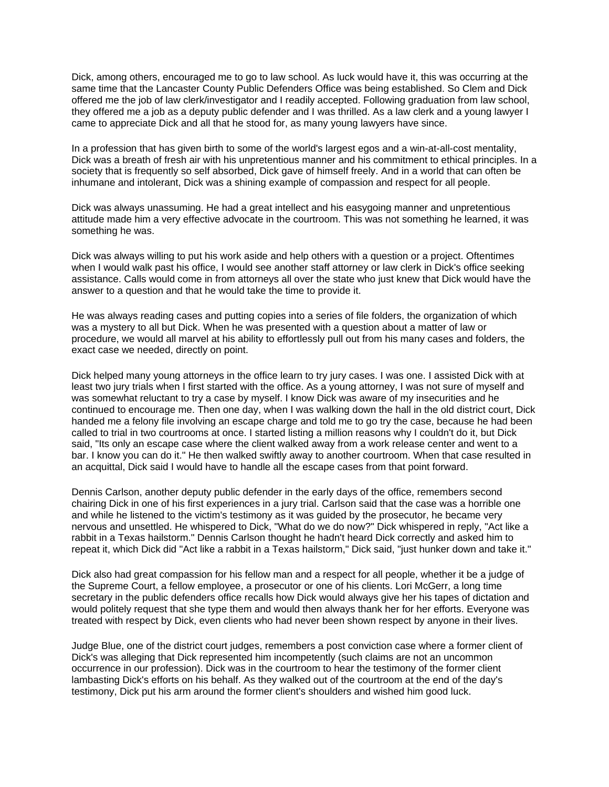Dick, among others, encouraged me to go to law school. As luck would have it, this was occurring at the same time that the Lancaster County Public Defenders Office was being established. So Clem and Dick offered me the job of law clerk/investigator and I readily accepted. Following graduation from law school, they offered me a job as a deputy public defender and I was thrilled. As a law clerk and a young lawyer I came to appreciate Dick and all that he stood for, as many young lawyers have since.

In a profession that has given birth to some of the world's largest egos and a win-at-all-cost mentality, Dick was a breath of fresh air with his unpretentious manner and his commitment to ethical principles. In a society that is frequently so self absorbed, Dick gave of himself freely. And in a world that can often be inhumane and intolerant, Dick was a shining example of compassion and respect for all people.

Dick was always unassuming. He had a great intellect and his easygoing manner and unpretentious attitude made him a very effective advocate in the courtroom. This was not something he learned, it was something he was.

Dick was always willing to put his work aside and help others with a question or a project. Oftentimes when I would walk past his office, I would see another staff attorney or law clerk in Dick's office seeking assistance. Calls would come in from attorneys all over the state who just knew that Dick would have the answer to a question and that he would take the time to provide it.

He was always reading cases and putting copies into a series of file folders, the organization of which was a mystery to all but Dick. When he was presented with a question about a matter of law or procedure, we would all marvel at his ability to effortlessly pull out from his many cases and folders, the exact case we needed, directly on point.

Dick helped many young attorneys in the office learn to try jury cases. I was one. I assisted Dick with at least two jury trials when I first started with the office. As a young attorney, I was not sure of myself and was somewhat reluctant to try a case by myself. I know Dick was aware of my insecurities and he continued to encourage me. Then one day, when I was walking down the hall in the old district court, Dick handed me a felony file involving an escape charge and told me to go try the case, because he had been called to trial in two courtrooms at once. I started listing a million reasons why I couldn't do it, but Dick said, "Its only an escape case where the client walked away from a work release center and went to a bar. I know you can do it." He then walked swiftly away to another courtroom. When that case resulted in an acquittal, Dick said I would have to handle all the escape cases from that point forward.

Dennis Carlson, another deputy public defender in the early days of the office, remembers second chairing Dick in one of his first experiences in a jury trial. Carlson said that the case was a horrible one and while he listened to the victim's testimony as it was guided by the prosecutor, he became very nervous and unsettled. He whispered to Dick, "What do we do now?" Dick whispered in reply, "Act like a rabbit in a Texas hailstorm." Dennis Carlson thought he hadn't heard Dick correctly and asked him to repeat it, which Dick did "Act like a rabbit in a Texas hailstorm," Dick said, "just hunker down and take it."

Dick also had great compassion for his fellow man and a respect for all people, whether it be a judge of the Supreme Court, a fellow employee, a prosecutor or one of his clients. Lori McGerr, a long time secretary in the public defenders office recalls how Dick would always give her his tapes of dictation and would politely request that she type them and would then always thank her for her efforts. Everyone was treated with respect by Dick, even clients who had never been shown respect by anyone in their lives.

Judge Blue, one of the district court judges, remembers a post conviction case where a former client of Dick's was alleging that Dick represented him incompetently (such claims are not an uncommon occurrence in our profession). Dick was in the courtroom to hear the testimony of the former client lambasting Dick's efforts on his behalf. As they walked out of the courtroom at the end of the day's testimony, Dick put his arm around the former client's shoulders and wished him good luck.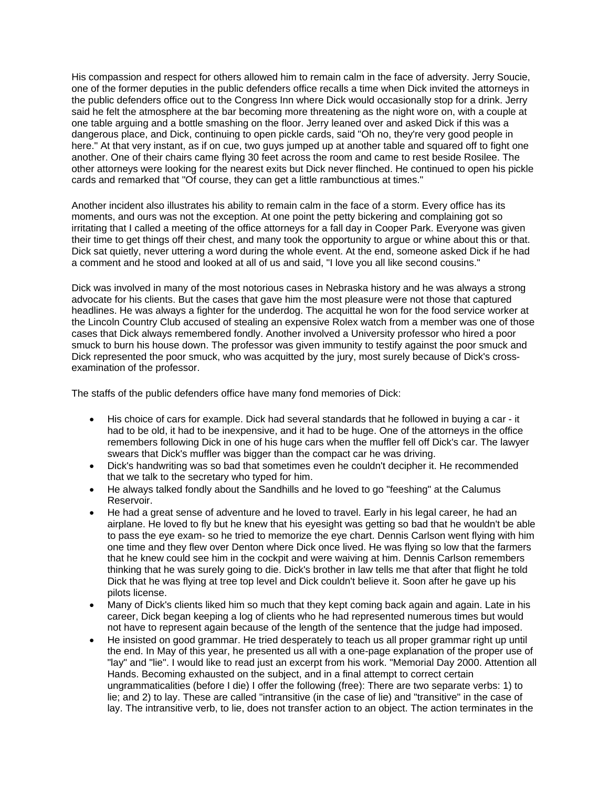His compassion and respect for others allowed him to remain calm in the face of adversity. Jerry Soucie, one of the former deputies in the public defenders office recalls a time when Dick invited the attorneys in the public defenders office out to the Congress Inn where Dick would occasionally stop for a drink. Jerry said he felt the atmosphere at the bar becoming more threatening as the night wore on, with a couple at one table arguing and a bottle smashing on the floor. Jerry leaned over and asked Dick if this was a dangerous place, and Dick, continuing to open pickle cards, said "Oh no, they're very good people in here." At that very instant, as if on cue, two guys jumped up at another table and squared off to fight one another. One of their chairs came flying 30 feet across the room and came to rest beside Rosilee. The other attorneys were looking for the nearest exits but Dick never flinched. He continued to open his pickle cards and remarked that "Of course, they can get a little rambunctious at times."

Another incident also illustrates his ability to remain calm in the face of a storm. Every office has its moments, and ours was not the exception. At one point the petty bickering and complaining got so irritating that I called a meeting of the office attorneys for a fall day in Cooper Park. Everyone was given their time to get things off their chest, and many took the opportunity to argue or whine about this or that. Dick sat quietly, never uttering a word during the whole event. At the end, someone asked Dick if he had a comment and he stood and looked at all of us and said, "I love you all like second cousins."

Dick was involved in many of the most notorious cases in Nebraska history and he was always a strong advocate for his clients. But the cases that gave him the most pleasure were not those that captured headlines. He was always a fighter for the underdog. The acquittal he won for the food service worker at the Lincoln Country Club accused of stealing an expensive Rolex watch from a member was one of those cases that Dick always remembered fondly. Another involved a University professor who hired a poor smuck to burn his house down. The professor was given immunity to testify against the poor smuck and Dick represented the poor smuck, who was acquitted by the jury, most surely because of Dick's crossexamination of the professor.

The staffs of the public defenders office have many fond memories of Dick:

- His choice of cars for example. Dick had several standards that he followed in buying a car it had to be old, it had to be inexpensive, and it had to be huge. One of the attorneys in the office remembers following Dick in one of his huge cars when the muffler fell off Dick's car. The lawyer swears that Dick's muffler was bigger than the compact car he was driving.
- Dick's handwriting was so bad that sometimes even he couldn't decipher it. He recommended that we talk to the secretary who typed for him.
- He always talked fondly about the Sandhills and he loved to go "feeshing" at the Calumus Reservoir.
- He had a great sense of adventure and he loved to travel. Early in his legal career, he had an airplane. He loved to fly but he knew that his eyesight was getting so bad that he wouldn't be able to pass the eye exam- so he tried to memorize the eye chart. Dennis Carlson went flying with him one time and they flew over Denton where Dick once lived. He was flying so low that the farmers that he knew could see him in the cockpit and were waiving at him. Dennis Carlson remembers thinking that he was surely going to die. Dick's brother in law tells me that after that flight he told Dick that he was flying at tree top level and Dick couldn't believe it. Soon after he gave up his pilots license.
- Many of Dick's clients liked him so much that they kept coming back again and again. Late in his career, Dick began keeping a log of clients who he had represented numerous times but would not have to represent again because of the length of the sentence that the judge had imposed.
- He insisted on good grammar. He tried desperately to teach us all proper grammar right up until the end. In May of this year, he presented us all with a one-page explanation of the proper use of "lay" and "lie". I would like to read just an excerpt from his work. "Memorial Day 2000. Attention all Hands. Becoming exhausted on the subject, and in a final attempt to correct certain ungrammaticalities (before I die) I offer the following (free): There are two separate verbs: 1) to lie; and 2) to lay. These are called "intransitive (in the case of lie) and "transitive" in the case of lay. The intransitive verb, to lie, does not transfer action to an object. The action terminates in the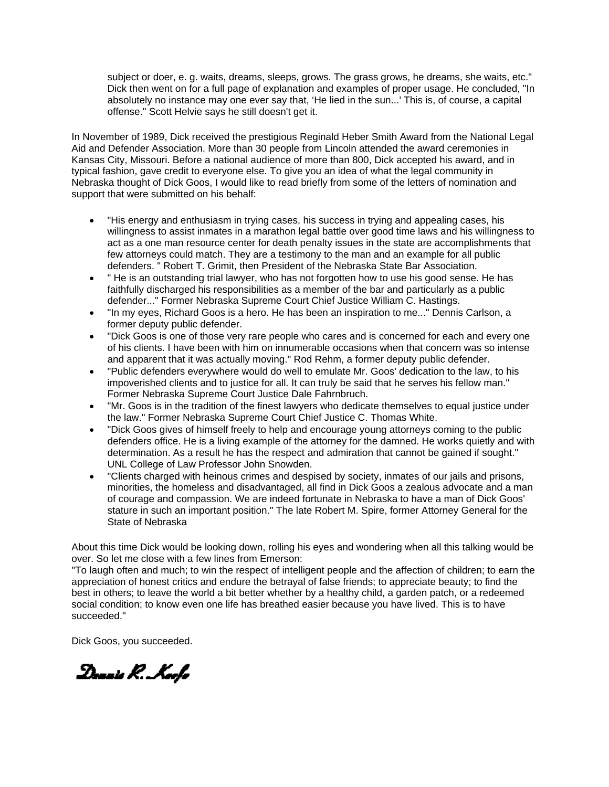subject or doer, e. g. waits, dreams, sleeps, grows. The grass grows, he dreams, she waits, etc." Dick then went on for a full page of explanation and examples of proper usage. He concluded, "In absolutely no instance may one ever say that, 'He lied in the sun...' This is, of course, a capital offense." Scott Helvie says he still doesn't get it.

In November of 1989, Dick received the prestigious Reginald Heber Smith Award from the National Legal Aid and Defender Association. More than 30 people from Lincoln attended the award ceremonies in Kansas City, Missouri. Before a national audience of more than 800, Dick accepted his award, and in typical fashion, gave credit to everyone else. To give you an idea of what the legal community in Nebraska thought of Dick Goos, I would like to read briefly from some of the letters of nomination and support that were submitted on his behalf:

- "His energy and enthusiasm in trying cases, his success in trying and appealing cases, his willingness to assist inmates in a marathon legal battle over good time laws and his willingness to act as a one man resource center for death penalty issues in the state are accomplishments that few attorneys could match. They are a testimony to the man and an example for all public defenders. " Robert T. Grimit, then President of the Nebraska State Bar Association.
- " He is an outstanding trial lawyer, who has not forgotten how to use his good sense. He has faithfully discharged his responsibilities as a member of the bar and particularly as a public defender..." Former Nebraska Supreme Court Chief Justice William C. Hastings.
- "In my eyes, Richard Goos is a hero. He has been an inspiration to me..." Dennis Carlson, a former deputy public defender.
- "Dick Goos is one of those very rare people who cares and is concerned for each and every one of his clients. I have been with him on innumerable occasions when that concern was so intense and apparent that it was actually moving." Rod Rehm, a former deputy public defender.
- "Public defenders everywhere would do well to emulate Mr. Goos' dedication to the law, to his impoverished clients and to justice for all. It can truly be said that he serves his fellow man." Former Nebraska Supreme Court Justice Dale Fahrnbruch.
- "Mr. Goos is in the tradition of the finest lawyers who dedicate themselves to equal justice under the law." Former Nebraska Supreme Court Chief Justice C. Thomas White.
- "Dick Goos gives of himself freely to help and encourage young attorneys coming to the public defenders office. He is a living example of the attorney for the damned. He works quietly and with determination. As a result he has the respect and admiration that cannot be gained if sought." UNL College of Law Professor John Snowden.
- "Clients charged with heinous crimes and despised by society, inmates of our jails and prisons, minorities, the homeless and disadvantaged, all find in Dick Goos a zealous advocate and a man of courage and compassion. We are indeed fortunate in Nebraska to have a man of Dick Goos' stature in such an important position." The late Robert M. Spire, former Attorney General for the State of Nebraska

About this time Dick would be looking down, rolling his eyes and wondering when all this talking would be over. So let me close with a few lines from Emerson:

"To laugh often and much; to win the respect of intelligent people and the affection of children; to earn the appreciation of honest critics and endure the betrayal of false friends; to appreciate beauty; to find the best in others; to leave the world a bit better whether by a healthy child, a garden patch, or a redeemed social condition; to know even one life has breathed easier because you have lived. This is to have succeeded."

Dick Goos, you succeeded.

Dannis R. Koofs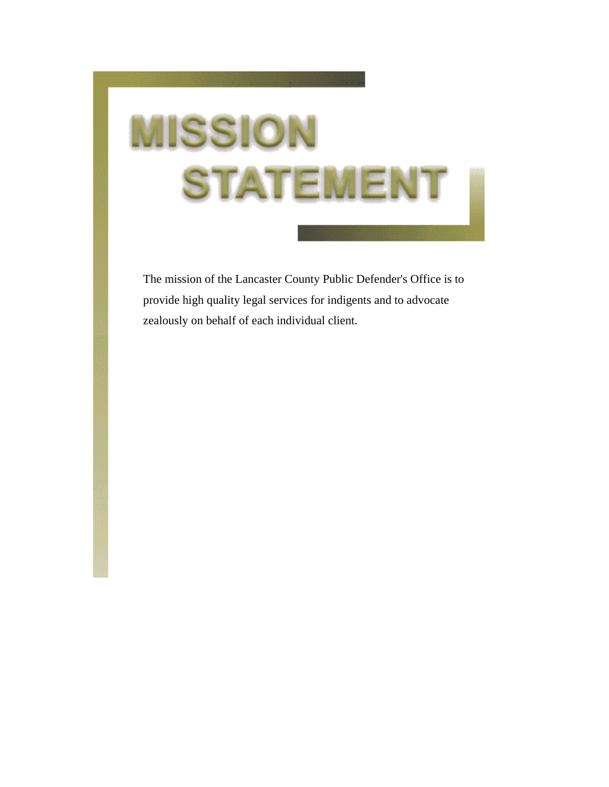## **MISSION STATEMENT**

The mission of the Lancaster County Public Defender's Office is to provide high quality legal services for indigents and to advocate zealously on behalf of each individual client.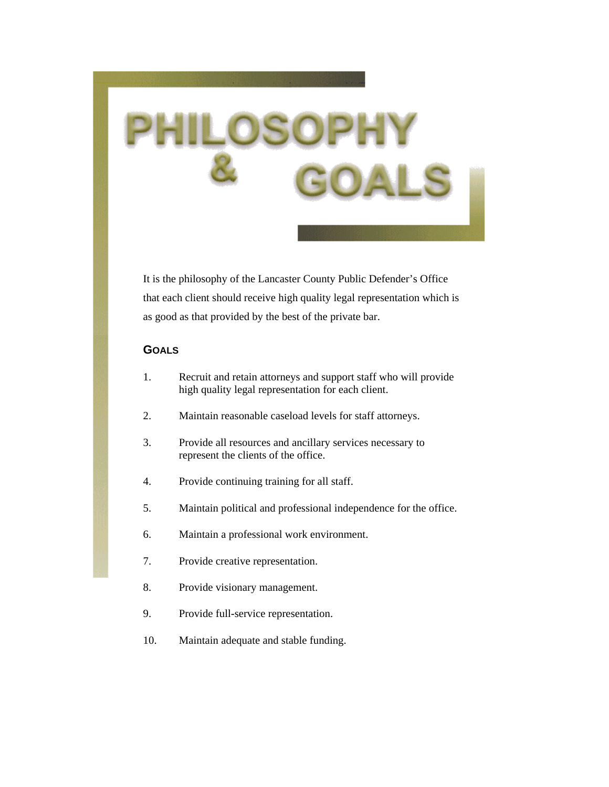It is the philosophy of the Lancaster County Public Defender's Office that each client should receive high quality legal representation which is as good as that provided by the best of the private bar.

## **GOALS**

- 1. Recruit and retain attorneys and support staff who will provide high quality legal representation for each client.
- 2. Maintain reasonable caseload levels for staff attorneys.
- 3. Provide all resources and ancillary services necessary to represent the clients of the office.
- 4. Provide continuing training for all staff.
- 5. Maintain political and professional independence for the office.
- 6. Maintain a professional work environment.
- 7. Provide creative representation.
- 8. Provide visionary management.
- 9. Provide full-service representation.
- 10. Maintain adequate and stable funding.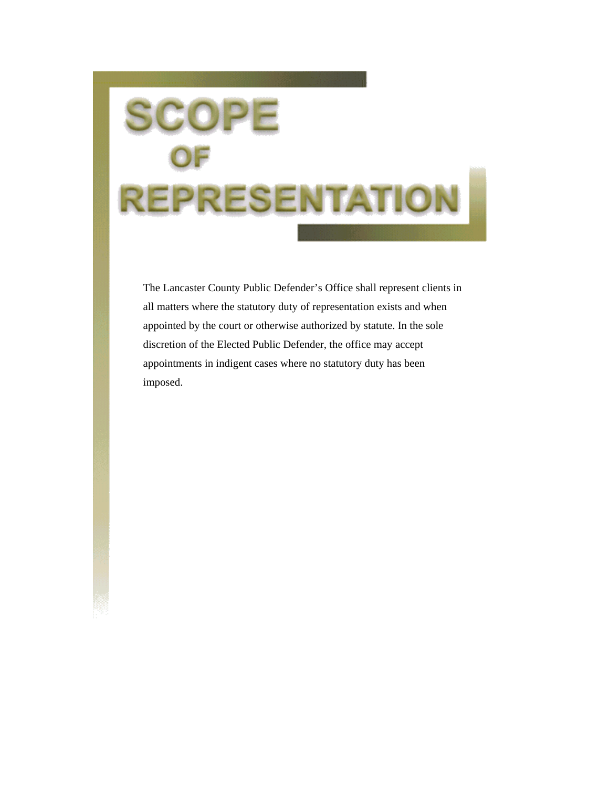# **REPRESENTATIOI**

The Lancaster County Public Defender's Office shall represent clients in all matters where the statutory duty of representation exists and when appointed by the court or otherwise authorized by statute. In the sole discretion of the Elected Public Defender, the office may accept appointments in indigent cases where no statutory duty has been imposed.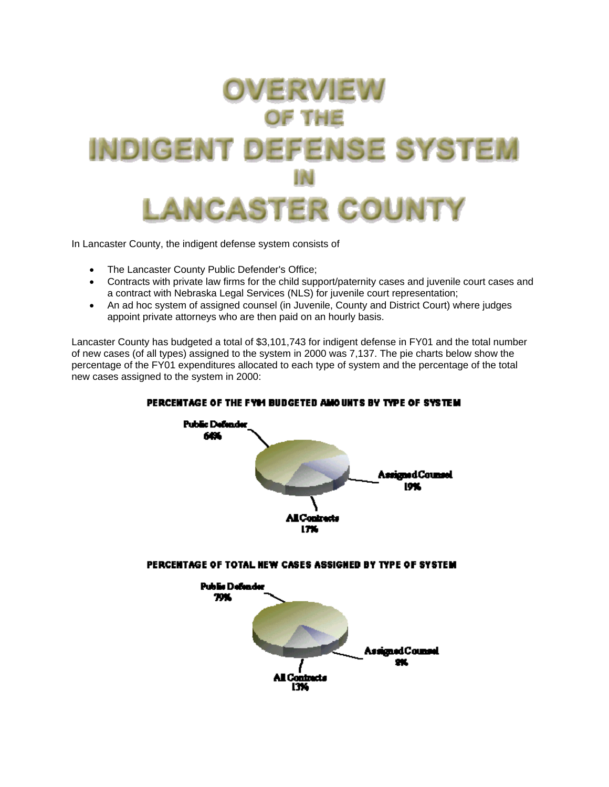

In Lancaster County, the indigent defense system consists of

- The Lancaster County Public Defender's Office;
- Contracts with private law firms for the child support/paternity cases and juvenile court cases and a contract with Nebraska Legal Services (NLS) for juvenile court representation;
- An ad hoc system of assigned counsel (in Juvenile, County and District Court) where judges appoint private attorneys who are then paid on an hourly basis.

Lancaster County has budgeted a total of \$3,101,743 for indigent defense in FY01 and the total number of new cases (of all types) assigned to the system in 2000 was 7,137. The pie charts below show the percentage of the FY01 expenditures allocated to each type of system and the percentage of the total new cases assigned to the system in 2000:



## PERCENTAGE OF THE EVALUATION AND UNTS BY TYPE OF SYSTEM.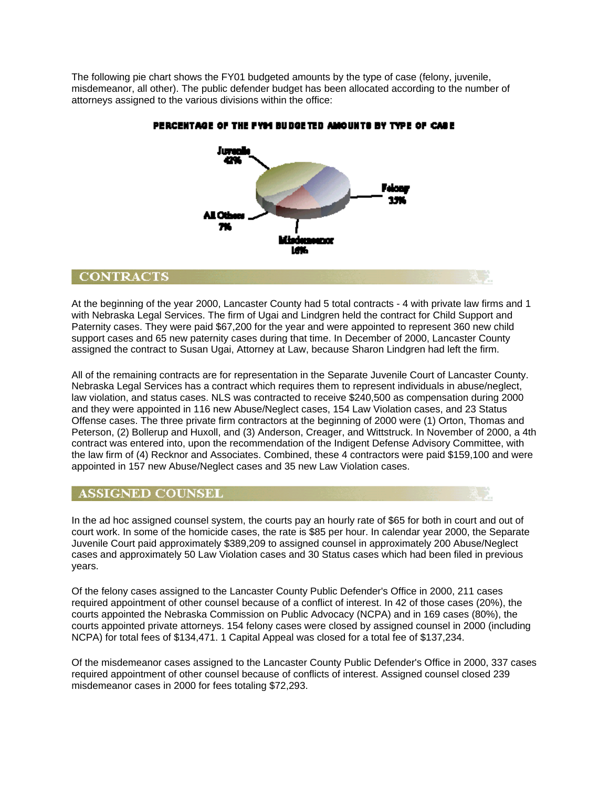The following pie chart shows the FY01 budgeted amounts by the type of case (felony, juvenile, misdemeanor, all other). The public defender budget has been allocated according to the number of attorneys assigned to the various divisions within the office:



## PERCENTAGE OF THE FYM BUDGETED AMOUNTS BY TYPE OF CASE

## **CONTRACTS**

At the beginning of the year 2000, Lancaster County had 5 total contracts - 4 with private law firms and 1 with Nebraska Legal Services. The firm of Ugai and Lindgren held the contract for Child Support and Paternity cases. They were paid \$67,200 for the year and were appointed to represent 360 new child support cases and 65 new paternity cases during that time. In December of 2000, Lancaster County assigned the contract to Susan Ugai, Attorney at Law, because Sharon Lindgren had left the firm.

All of the remaining contracts are for representation in the Separate Juvenile Court of Lancaster County. Nebraska Legal Services has a contract which requires them to represent individuals in abuse/neglect, law violation, and status cases. NLS was contracted to receive \$240,500 as compensation during 2000 and they were appointed in 116 new Abuse/Neglect cases, 154 Law Violation cases, and 23 Status Offense cases. The three private firm contractors at the beginning of 2000 were (1) Orton, Thomas and Peterson, (2) Bollerup and Huxoll, and (3) Anderson, Creager, and Wittstruck. In November of 2000, a 4th contract was entered into, upon the recommendation of the Indigent Defense Advisory Committee, with the law firm of (4) Recknor and Associates. Combined, these 4 contractors were paid \$159,100 and were appointed in 157 new Abuse/Neglect cases and 35 new Law Violation cases.

## **ASSIGNED COUNSEL**

In the ad hoc assigned counsel system, the courts pay an hourly rate of \$65 for both in court and out of court work. In some of the homicide cases, the rate is \$85 per hour. In calendar year 2000, the Separate Juvenile Court paid approximately \$389,209 to assigned counsel in approximately 200 Abuse/Neglect cases and approximately 50 Law Violation cases and 30 Status cases which had been filed in previous years.

Of the felony cases assigned to the Lancaster County Public Defender's Office in 2000, 211 cases required appointment of other counsel because of a conflict of interest. In 42 of those cases (20%), the courts appointed the Nebraska Commission on Public Advocacy (NCPA) and in 169 cases (80%), the courts appointed private attorneys. 154 felony cases were closed by assigned counsel in 2000 (including NCPA) for total fees of \$134,471. 1 Capital Appeal was closed for a total fee of \$137,234.

Of the misdemeanor cases assigned to the Lancaster County Public Defender's Office in 2000, 337 cases required appointment of other counsel because of conflicts of interest. Assigned counsel closed 239 misdemeanor cases in 2000 for fees totaling \$72,293.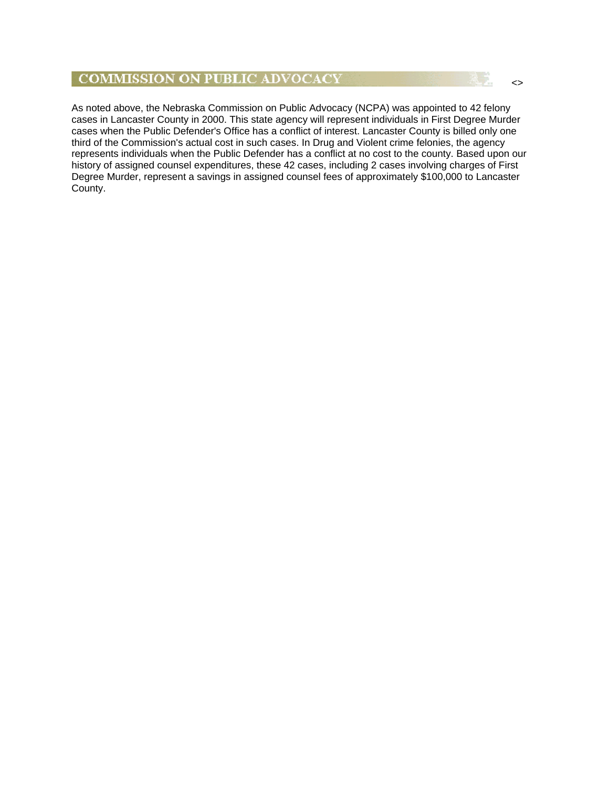## **COMMISSION ON PUBLIC ADVOCACY**

As noted above, the Nebraska Commission on Public Advocacy (NCPA) was appointed to 42 felony cases in Lancaster County in 2000. This state agency will represent individuals in First Degree Murder cases when the Public Defender's Office has a conflict of interest. Lancaster County is billed only one third of the Commission's actual cost in such cases. In Drug and Violent crime felonies, the agency represents individuals when the Public Defender has a conflict at no cost to the county. Based upon our history of assigned counsel expenditures, these 42 cases, including 2 cases involving charges of First Degree Murder, represent a savings in assigned counsel fees of approximately \$100,000 to Lancaster County.

<>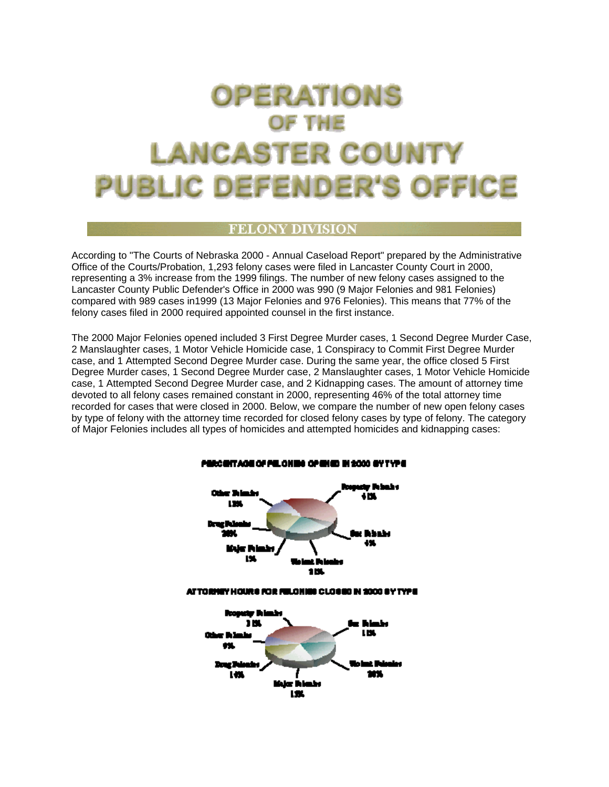## **OPERATIONS OF THE LANCASTER COUNTY** PUBLIC DEFENDER'S OFFICE

## FELONY DIVISIO!

According to "The Courts of Nebraska 2000 - Annual Caseload Report" prepared by the Administrative Office of the Courts/Probation, 1,293 felony cases were filed in Lancaster County Court in 2000, representing a 3% increase from the 1999 filings. The number of new felony cases assigned to the Lancaster County Public Defender's Office in 2000 was 990 (9 Major Felonies and 981 Felonies) compared with 989 cases in1999 (13 Major Felonies and 976 Felonies). This means that 77% of the felony cases filed in 2000 required appointed counsel in the first instance.

The 2000 Major Felonies opened included 3 First Degree Murder cases, 1 Second Degree Murder Case, 2 Manslaughter cases, 1 Motor Vehicle Homicide case, 1 Conspiracy to Commit First Degree Murder case, and 1 Attempted Second Degree Murder case. During the same year, the office closed 5 First Degree Murder cases, 1 Second Degree Murder case, 2 Manslaughter cases, 1 Motor Vehicle Homicide case, 1 Attempted Second Degree Murder case, and 2 Kidnapping cases. The amount of attorney time devoted to all felony cases remained constant in 2000, representing 46% of the total attorney time recorded for cases that were closed in 2000. Below, we compare the number of new open felony cases by type of felony with the attorney time recorded for closed felony cases by type of felony. The category of Major Felonies includes all types of homicides and attempted homicides and kidnapping cases:

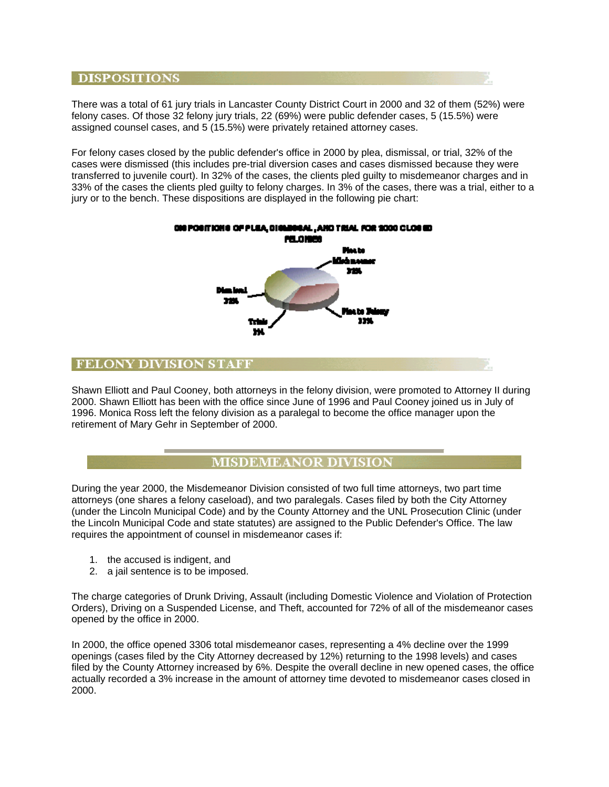## **DISPOSITIONS**

There was a total of 61 jury trials in Lancaster County District Court in 2000 and 32 of them (52%) were felony cases. Of those 32 felony jury trials, 22 (69%) were public defender cases, 5 (15.5%) were assigned counsel cases, and 5 (15.5%) were privately retained attorney cases.

For felony cases closed by the public defender's office in 2000 by plea, dismissal, or trial, 32% of the cases were dismissed (this includes pre-trial diversion cases and cases dismissed because they were transferred to juvenile court). In 32% of the cases, the clients pled guilty to misdemeanor charges and in 33% of the cases the clients pled guilty to felony charges. In 3% of the cases, there was a trial, either to a jury or to the bench. These dispositions are displayed in the following pie chart:



## **FELONY DIVISION STAFF**

Shawn Elliott and Paul Cooney, both attorneys in the felony division, were promoted to Attorney II during 2000. Shawn Elliott has been with the office since June of 1996 and Paul Cooney joined us in July of 1996. Monica Ross left the felony division as a paralegal to become the office manager upon the retirement of Mary Gehr in September of 2000.

## **MISDEMEANOR DIVISION**

During the year 2000, the Misdemeanor Division consisted of two full time attorneys, two part time attorneys (one shares a felony caseload), and two paralegals. Cases filed by both the City Attorney (under the Lincoln Municipal Code) and by the County Attorney and the UNL Prosecution Clinic (under the Lincoln Municipal Code and state statutes) are assigned to the Public Defender's Office. The law requires the appointment of counsel in misdemeanor cases if:

- 1. the accused is indigent, and
- 2. a jail sentence is to be imposed.

The charge categories of Drunk Driving, Assault (including Domestic Violence and Violation of Protection Orders), Driving on a Suspended License, and Theft, accounted for 72% of all of the misdemeanor cases opened by the office in 2000.

In 2000, the office opened 3306 total misdemeanor cases, representing a 4% decline over the 1999 openings (cases filed by the City Attorney decreased by 12%) returning to the 1998 levels) and cases filed by the County Attorney increased by 6%. Despite the overall decline in new opened cases, the office actually recorded a 3% increase in the amount of attorney time devoted to misdemeanor cases closed in 2000.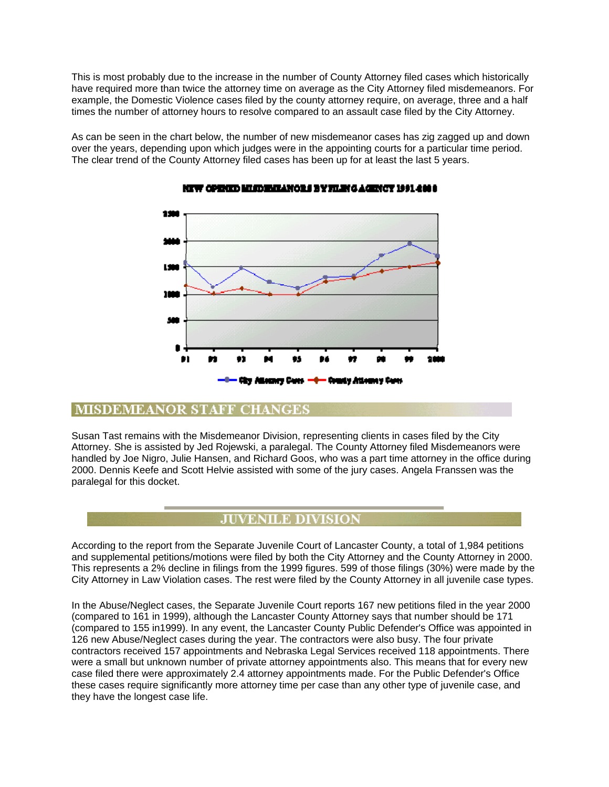This is most probably due to the increase in the number of County Attorney filed cases which historically have required more than twice the attorney time on average as the City Attorney filed misdemeanors. For example, the Domestic Violence cases filed by the county attorney require, on average, three and a half times the number of attorney hours to resolve compared to an assault case filed by the City Attorney.

As can be seen in the chart below, the number of new misdemeanor cases has zig zagged up and down over the years, depending upon which judges were in the appointing courts for a particular time period. The clear trend of the County Attorney filed cases has been up for at least the last 5 years.



## **NEW OPENED MINDERIANCES BYTILE(GAGENCY 1991-2008)**

## **MISDEMEANOR STAFF CHANGES**

Susan Tast remains with the Misdemeanor Division, representing clients in cases filed by the City Attorney. She is assisted by Jed Rojewski, a paralegal. The County Attorney filed Misdemeanors were handled by Joe Nigro, Julie Hansen, and Richard Goos, who was a part time attorney in the office during 2000. Dennis Keefe and Scott Helvie assisted with some of the jury cases. Angela Franssen was the paralegal for this docket.

## **JUVENILE DIVISION**

According to the report from the Separate Juvenile Court of Lancaster County, a total of 1,984 petitions and supplemental petitions/motions were filed by both the City Attorney and the County Attorney in 2000. This represents a 2% decline in filings from the 1999 figures. 599 of those filings (30%) were made by the City Attorney in Law Violation cases. The rest were filed by the County Attorney in all juvenile case types.

In the Abuse/Neglect cases, the Separate Juvenile Court reports 167 new petitions filed in the year 2000 (compared to 161 in 1999), although the Lancaster County Attorney says that number should be 171 (compared to 155 in1999). In any event, the Lancaster County Public Defender's Office was appointed in 126 new Abuse/Neglect cases during the year. The contractors were also busy. The four private contractors received 157 appointments and Nebraska Legal Services received 118 appointments. There were a small but unknown number of private attorney appointments also. This means that for every new case filed there were approximately 2.4 attorney appointments made. For the Public Defender's Office these cases require significantly more attorney time per case than any other type of juvenile case, and they have the longest case life.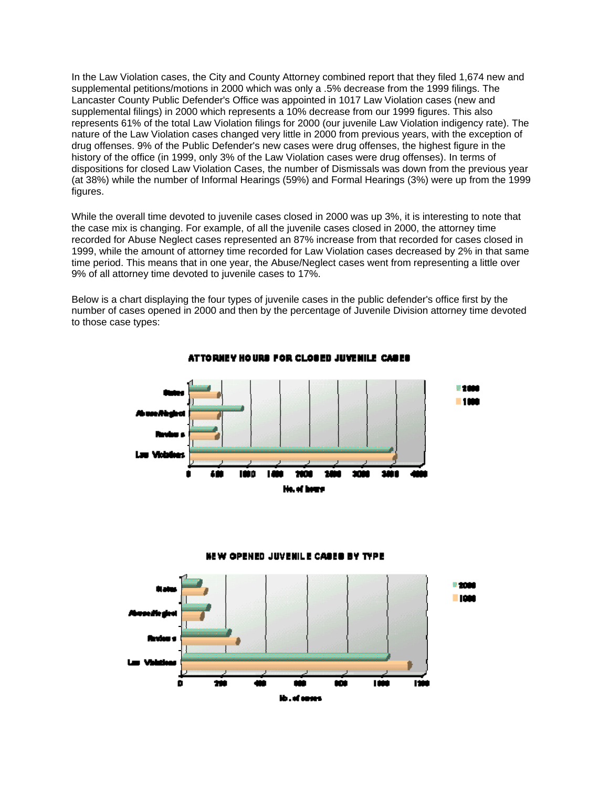In the Law Violation cases, the City and County Attorney combined report that they filed 1,674 new and supplemental petitions/motions in 2000 which was only a .5% decrease from the 1999 filings. The Lancaster County Public Defender's Office was appointed in 1017 Law Violation cases (new and supplemental filings) in 2000 which represents a 10% decrease from our 1999 figures. This also represents 61% of the total Law Violation filings for 2000 (our juvenile Law Violation indigency rate). The nature of the Law Violation cases changed very little in 2000 from previous years, with the exception of drug offenses. 9% of the Public Defender's new cases were drug offenses, the highest figure in the history of the office (in 1999, only 3% of the Law Violation cases were drug offenses). In terms of dispositions for closed Law Violation Cases, the number of Dismissals was down from the previous year (at 38%) while the number of Informal Hearings (59%) and Formal Hearings (3%) were up from the 1999 figures.

While the overall time devoted to juvenile cases closed in 2000 was up 3%, it is interesting to note that the case mix is changing. For example, of all the juvenile cases closed in 2000, the attorney time recorded for Abuse Neglect cases represented an 87% increase from that recorded for cases closed in 1999, while the amount of attorney time recorded for Law Violation cases decreased by 2% in that same time period. This means that in one year, the Abuse/Neglect cases went from representing a little over 9% of all attorney time devoted to juvenile cases to 17%.

Below is a chart displaying the four types of juvenile cases in the public defender's office first by the number of cases opened in 2000 and then by the percentage of Juvenile Division attorney time devoted to those case types:



ATTORNEY HOURS FOR CLOSED JUVENILE CASES



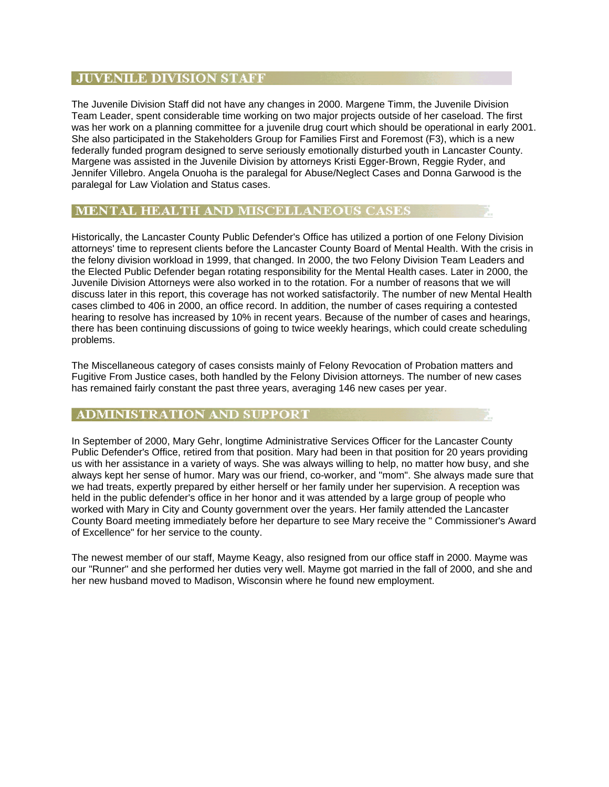## **JUVENILE DIVISION STAFF**

The Juvenile Division Staff did not have any changes in 2000. Margene Timm, the Juvenile Division Team Leader, spent considerable time working on two major projects outside of her caseload. The first was her work on a planning committee for a juvenile drug court which should be operational in early 2001. She also participated in the Stakeholders Group for Families First and Foremost (F3), which is a new federally funded program designed to serve seriously emotionally disturbed youth in Lancaster County. Margene was assisted in the Juvenile Division by attorneys Kristi Egger-Brown, Reggie Ryder, and Jennifer Villebro. Angela Onuoha is the paralegal for Abuse/Neglect Cases and Donna Garwood is the paralegal for Law Violation and Status cases.

## MENTAL HEALTH AND MISCELLANEOUS CASES

Historically, the Lancaster County Public Defender's Office has utilized a portion of one Felony Division attorneys' time to represent clients before the Lancaster County Board of Mental Health. With the crisis in the felony division workload in 1999, that changed. In 2000, the two Felony Division Team Leaders and the Elected Public Defender began rotating responsibility for the Mental Health cases. Later in 2000, the Juvenile Division Attorneys were also worked in to the rotation. For a number of reasons that we will discuss later in this report, this coverage has not worked satisfactorily. The number of new Mental Health cases climbed to 406 in 2000, an office record. In addition, the number of cases requiring a contested hearing to resolve has increased by 10% in recent years. Because of the number of cases and hearings, there has been continuing discussions of going to twice weekly hearings, which could create scheduling problems.

The Miscellaneous category of cases consists mainly of Felony Revocation of Probation matters and Fugitive From Justice cases, both handled by the Felony Division attorneys. The number of new cases has remained fairly constant the past three years, averaging 146 new cases per year.

## ADMINISTRATION AND SUPPORT

In September of 2000, Mary Gehr, longtime Administrative Services Officer for the Lancaster County Public Defender's Office, retired from that position. Mary had been in that position for 20 years providing us with her assistance in a variety of ways. She was always willing to help, no matter how busy, and she always kept her sense of humor. Mary was our friend, co-worker, and "mom". She always made sure that we had treats, expertly prepared by either herself or her family under her supervision. A reception was held in the public defender's office in her honor and it was attended by a large group of people who worked with Mary in City and County government over the years. Her family attended the Lancaster County Board meeting immediately before her departure to see Mary receive the " Commissioner's Award of Excellence" for her service to the county.

The newest member of our staff, Mayme Keagy, also resigned from our office staff in 2000. Mayme was our "Runner" and she performed her duties very well. Mayme got married in the fall of 2000, and she and her new husband moved to Madison, Wisconsin where he found new employment.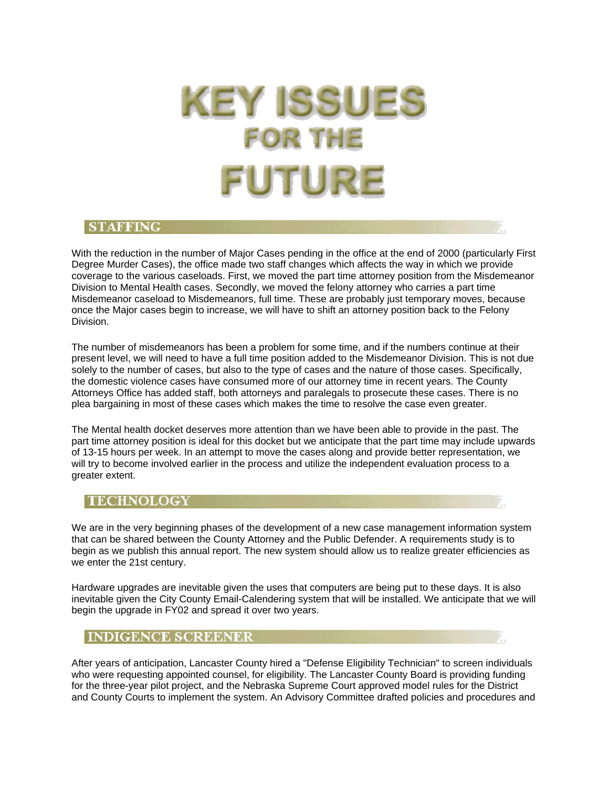## **KEY ISSUES FOR THE** UTUR

## **STAFFING**

With the reduction in the number of Major Cases pending in the office at the end of 2000 (particularly First Degree Murder Cases), the office made two staff changes which affects the way in which we provide coverage to the various caseloads. First, we moved the part time attorney position from the Misdemeanor Division to Mental Health cases. Secondly, we moved the felony attorney who carries a part time Misdemeanor caseload to Misdemeanors, full time. These are probably just temporary moves, because once the Major cases begin to increase, we will have to shift an attorney position back to the Felony Division.

The number of misdemeanors has been a problem for some time, and if the numbers continue at their present level, we will need to have a full time position added to the Misdemeanor Division. This is not due solely to the number of cases, but also to the type of cases and the nature of those cases. Specifically, the domestic violence cases have consumed more of our attorney time in recent years. The County Attorneys Office has added staff, both attorneys and paralegals to prosecute these cases. There is no plea bargaining in most of these cases which makes the time to resolve the case even greater.

The Mental health docket deserves more attention than we have been able to provide in the past. The part time attorney position is ideal for this docket but we anticipate that the part time may include upwards of 13-15 hours per week. In an attempt to move the cases along and provide better representation, we will try to become involved earlier in the process and utilize the independent evaluation process to a greater extent.

## **TECHNOLOGY**

We are in the very beginning phases of the development of a new case management information system that can be shared between the County Attorney and the Public Defender. A requirements study is to begin as we publish this annual report. The new system should allow us to realize greater efficiencies as we enter the 21st century.

Hardware upgrades are inevitable given the uses that computers are being put to these days. It is also inevitable given the City County Email-Calendering system that will be installed. We anticipate that we will begin the upgrade in FY02 and spread it over two years.

## **INDIGENCE SCREENER**

After years of anticipation, Lancaster County hired a "Defense Eligibility Technician" to screen individuals who were requesting appointed counsel, for eligibility. The Lancaster County Board is providing funding for the three-year pilot project, and the Nebraska Supreme Court approved model rules for the District and County Courts to implement the system. An Advisory Committee drafted policies and procedures and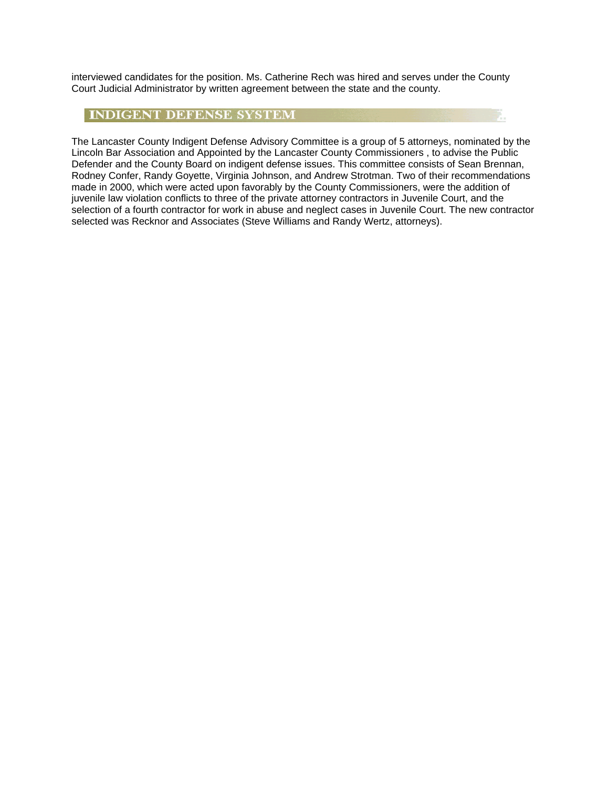interviewed candidates for the position. Ms. Catherine Rech was hired and serves under the County Court Judicial Administrator by written agreement between the state and the county.

## **INDIGENT DEFENSE SYSTEM**

The Lancaster County Indigent Defense Advisory Committee is a group of 5 attorneys, nominated by the Lincoln Bar Association and Appointed by the Lancaster County Commissioners , to advise the Public Defender and the County Board on indigent defense issues. This committee consists of Sean Brennan, Rodney Confer, Randy Goyette, Virginia Johnson, and Andrew Strotman. Two of their recommendations made in 2000, which were acted upon favorably by the County Commissioners, were the addition of juvenile law violation conflicts to three of the private attorney contractors in Juvenile Court, and the selection of a fourth contractor for work in abuse and neglect cases in Juvenile Court. The new contractor selected was Recknor and Associates (Steve Williams and Randy Wertz, attorneys).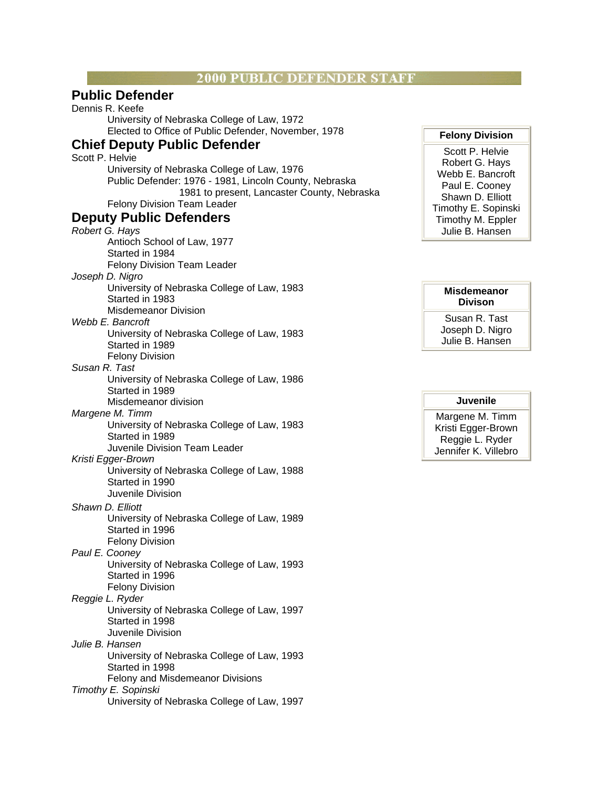## **2000 PUBLIC DEFENDER STAFF**

## **Public Defender**

Dennis R. Keefe University of Nebraska College of Law, 1972 Elected to Office of Public Defender, November, 1978

## **Chief Deputy Public Defender**

Scott P. Helvie University of Nebraska College of Law, 1976 Public Defender: 1976 - 1981, Lincoln County, Nebraska 1981 to present, Lancaster County, Nebraska Felony Division Team Leader

## **Deputy Public Defenders**

*Robert G. Hays* Antioch School of Law, 1977 Started in 1984 Felony Division Team Leader *Joseph D. Nigro* University of Nebraska College of Law, 1983 Started in 1983 Misdemeanor Division *Webb E. Bancroft* University of Nebraska College of Law, 1983 Started in 1989 Felony Division *Susan R. Tast* University of Nebraska College of Law, 1986 Started in 1989 Misdemeanor division *Margene M. Timm* University of Nebraska College of Law, 1983 Started in 1989 Juvenile Division Team Leader *Kristi Egger-Brown* University of Nebraska College of Law, 1988 Started in 1990 Juvenile Division *Shawn D. Elliott* University of Nebraska College of Law, 1989 Started in 1996 Felony Division *Paul E. Cooney* University of Nebraska College of Law, 1993 Started in 1996 Felony Division *Reggie L. Ryder* University of Nebraska College of Law, 1997 Started in 1998 Juvenile Division *Julie B. Hansen* University of Nebraska College of Law, 1993 Started in 1998 Felony and Misdemeanor Divisions *Timothy E. Sopinski* University of Nebraska College of Law, 1997

## **Felony Division**

Scott P. Helvie Robert G. Hays Webb E. Bancroft Paul E. Cooney Shawn D. Elliott Timothy E. Sopinski Timothy M. Eppler Julie B. Hansen

### **Misdemeanor Divison**

Susan R. Tast Joseph D. Nigro Julie B. Hansen

## **Juvenile**

Margene M. Timm Kristi Egger-Brown Reggie L. Ryder Jennifer K. Villebro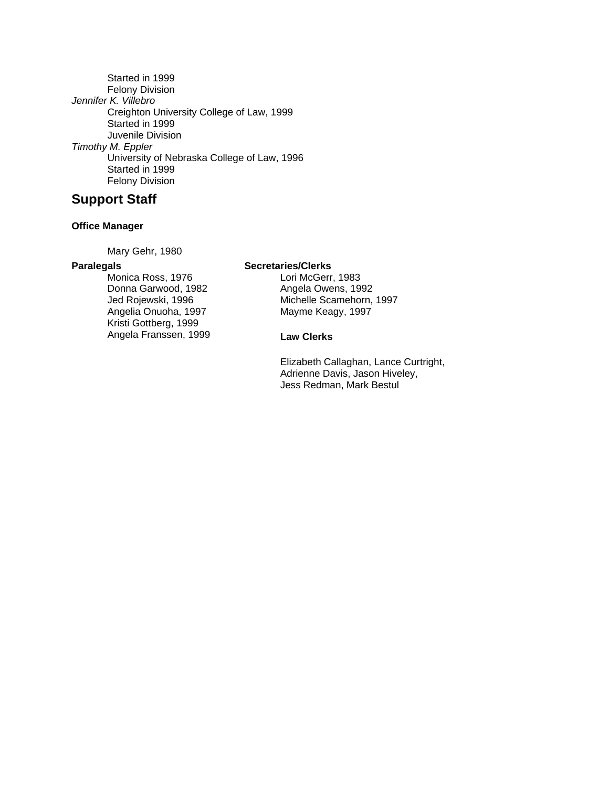Started in 1999 Felony Division *Jennifer K. Villebro* Creighton University College of Law, 1999 Started in 1999 Juvenile Division *Timothy M. Eppler* University of Nebraska College of Law, 1996 Started in 1999 Felony Division

## **Support Staff**

## **Office Manager**

Mary Gehr, 1980

## **Paralegals**

Monica Ross, 1976 Donna Garwood, 1982 Jed Rojewski, 1996 Angelia Onuoha, 1997 Kristi Gottberg, 1999 Angela Franssen, 1999 **Secretaries/Clerks**

Lori McGerr, 1983 Angela Owens, 1992 Michelle Scamehorn, 1997 Mayme Keagy, 1997

## **Law Clerks**

Elizabeth Callaghan, Lance Curtright, Adrienne Davis, Jason Hiveley, Jess Redman, Mark Bestul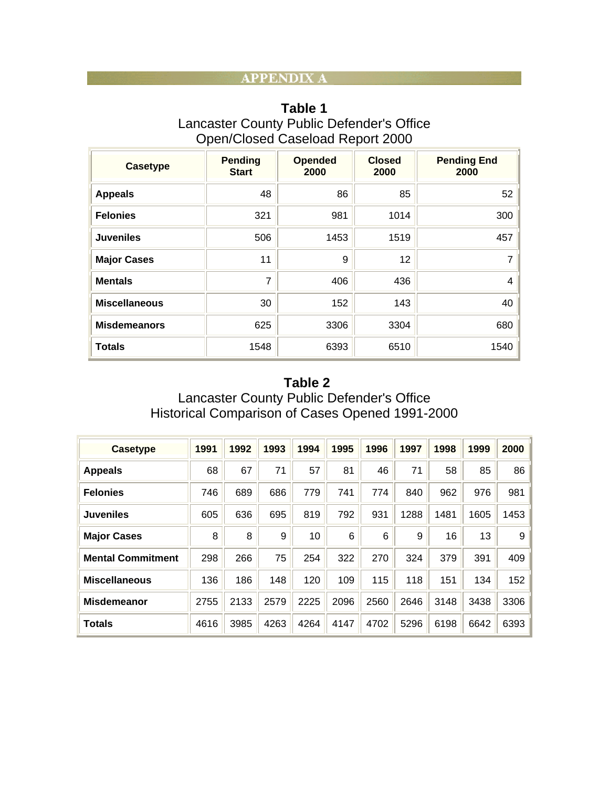## **APPENDIX A**

| Table 1                                   |  |  |  |  |  |  |  |
|-------------------------------------------|--|--|--|--|--|--|--|
| Lancaster County Public Defender's Office |  |  |  |  |  |  |  |
| Open/Closed Caseload Report 2000          |  |  |  |  |  |  |  |

| <b>Casetype</b>      | <b>Pending</b><br><b>Start</b> | <b>Opended</b><br>2000 | <b>Closed</b><br>2000 | <b>Pending End</b><br>2000 |
|----------------------|--------------------------------|------------------------|-----------------------|----------------------------|
| <b>Appeals</b>       | 48                             | 86                     | 85                    | 52                         |
| <b>Felonies</b>      | 321                            | 981                    | 1014                  | 300                        |
| <b>Juveniles</b>     | 506                            | 1453                   | 1519                  | 457                        |
| <b>Major Cases</b>   | 11                             | 9                      | 12                    | $\overline{7}$             |
| <b>Mentals</b>       | 7                              | 406                    | 436                   | 4                          |
| <b>Miscellaneous</b> | 30                             | 152                    | 143                   | 40                         |
| <b>Misdemeanors</b>  | 625                            | 3306                   | 3304                  | 680                        |
| <b>Totals</b>        | 1548                           | 6393                   | 6510                  | 1540                       |

## **Table 2** Lancaster County Public Defender's Office Historical Comparison of Cases Opened 1991-2000

| <b>Casetype</b>          | 1991 | 1992 | 1993 | 1994 | 1995 | 1996 | 1997 | 1998 | 1999 | 2000 |
|--------------------------|------|------|------|------|------|------|------|------|------|------|
| <b>Appeals</b>           | 68   | 67   | 71   | 57   | 81   | 46   | 71   | 58   | 85   | 86   |
| <b>Felonies</b>          | 746  | 689  | 686  | 779  | 741  | 774  | 840  | 962  | 976  | 981  |
| <b>Juveniles</b>         | 605  | 636  | 695  | 819  | 792  | 931  | 1288 | 1481 | 1605 | 1453 |
| <b>Major Cases</b>       | 8    | 8    | 9    | 10   | 6    | 6    | 9    | 16   | 13   | 9    |
| <b>Mental Commitment</b> | 298  | 266  | 75   | 254  | 322  | 270  | 324  | 379  | 391  | 409  |
| <b>Miscellaneous</b>     | 136  | 186  | 148  | 120  | 109  | 115  | 118  | 151  | 134  | 152  |
| <b>Misdemeanor</b>       | 2755 | 2133 | 2579 | 2225 | 2096 | 2560 | 2646 | 3148 | 3438 | 3306 |
| <b>Totals</b>            | 4616 | 3985 | 4263 | 4264 | 4147 | 4702 | 5296 | 6198 | 6642 | 6393 |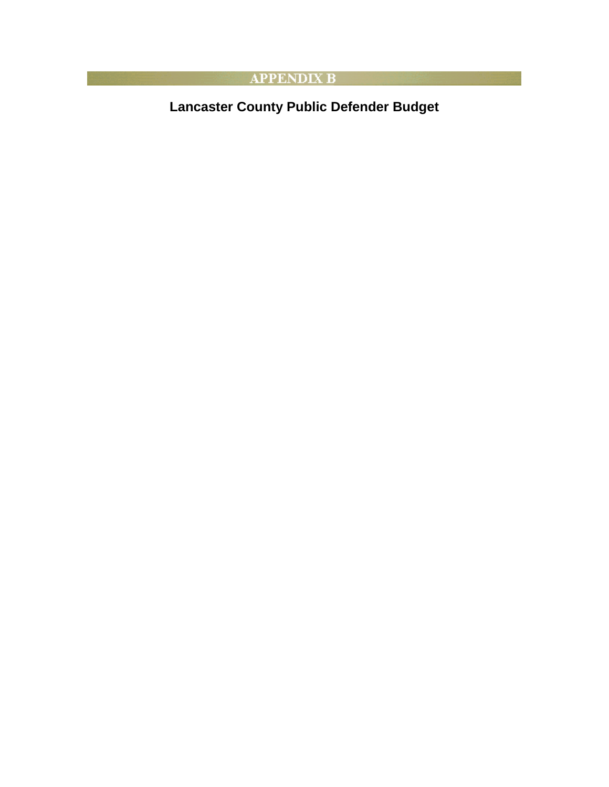## **EXAMPLE APPENDIX B**

**Lancaster County Public Defender Budget**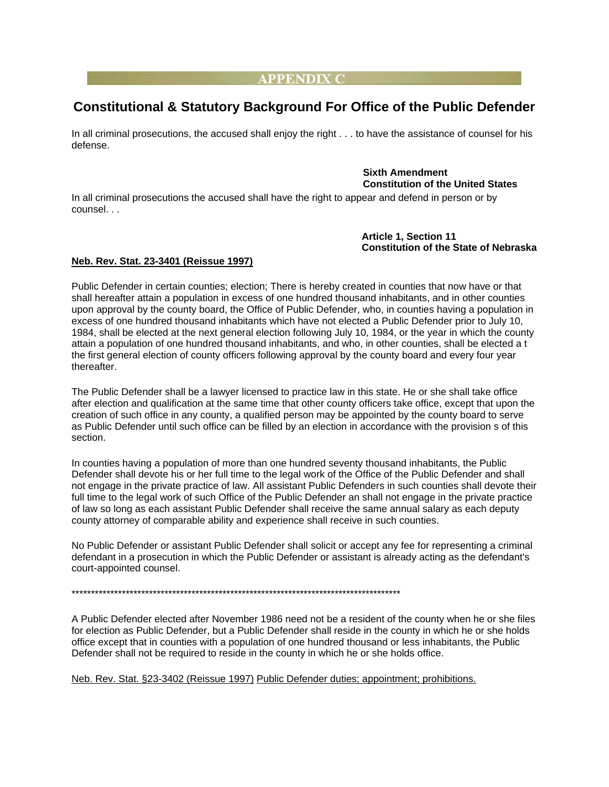## **APPENDIX C**

## **Constitutional & Statutory Background For Office of the Public Defender**

In all criminal prosecutions, the accused shall enjoy the right . . . to have the assistance of counsel for his defense.

## **Sixth Amendment Constitution of the United States**

In all criminal prosecutions the accused shall have the right to appear and defend in person or by counsel. . .

> **Article 1, Section 11 Constitution of the State of Nebraska**

## **Neb. Rev. Stat. 23-3401 (Reissue 1997)**

Public Defender in certain counties; election; There is hereby created in counties that now have or that shall hereafter attain a population in excess of one hundred thousand inhabitants, and in other counties upon approval by the county board, the Office of Public Defender, who, in counties having a population in excess of one hundred thousand inhabitants which have not elected a Public Defender prior to July 10, 1984, shall be elected at the next general election following July 10, 1984, or the year in which the county attain a population of one hundred thousand inhabitants, and who, in other counties, shall be elected a t the first general election of county officers following approval by the county board and every four year thereafter.

The Public Defender shall be a lawyer licensed to practice law in this state. He or she shall take office after election and qualification at the same time that other county officers take office, except that upon the creation of such office in any county, a qualified person may be appointed by the county board to serve as Public Defender until such office can be filled by an election in accordance with the provision s of this section.

In counties having a population of more than one hundred seventy thousand inhabitants, the Public Defender shall devote his or her full time to the legal work of the Office of the Public Defender and shall not engage in the private practice of law. All assistant Public Defenders in such counties shall devote their full time to the legal work of such Office of the Public Defender an shall not engage in the private practice of law so long as each assistant Public Defender shall receive the same annual salary as each deputy county attorney of comparable ability and experience shall receive in such counties.

No Public Defender or assistant Public Defender shall solicit or accept any fee for representing a criminal defendant in a prosecution in which the Public Defender or assistant is already acting as the defendant's court-appointed counsel.

\*\*\*\*\*\*\*\*\*\*\*\*\*\*\*\*\*\*\*\*\*\*\*\*\*\*\*\*\*\*\*\*\*\*\*\*\*\*\*\*\*\*\*\*\*\*\*\*\*\*\*\*\*\*\*\*\*\*\*\*\*\*\*\*\*\*\*\*\*\*\*\*\*\*\*\*\*\*\*\*\*\*\*\*\*

A Public Defender elected after November 1986 need not be a resident of the county when he or she files for election as Public Defender, but a Public Defender shall reside in the county in which he or she holds office except that in counties with a population of one hundred thousand or less inhabitants, the Public Defender shall not be required to reside in the county in which he or she holds office.

Neb. Rev. Stat. §23-3402 (Reissue 1997) Public Defender duties; appointment; prohibitions.